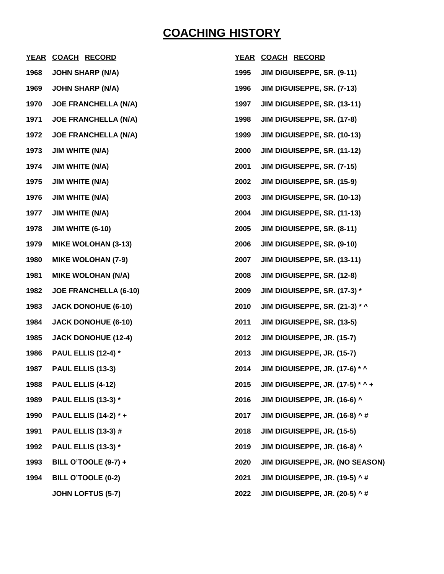## **COACHING HISTORY**

|      | YEAR COACH RECORD            | <b>YEAR</b> | <b>COACH RECORD</b>                   |
|------|------------------------------|-------------|---------------------------------------|
| 1968 | <b>JOHN SHARP (N/A)</b>      | 1995        | JIM DIGUISEPPE, SR. (9-11)            |
| 1969 | <b>JOHN SHARP (N/A)</b>      | 1996        | JIM DIGUISEPPE, SR. (7-13)            |
| 1970 | <b>JOE FRANCHELLA (N/A)</b>  | 1997        | JIM DIGUISEPPE, SR. (13-11)           |
| 1971 | <b>JOE FRANCHELLA (N/A)</b>  | 1998        | JIM DIGUISEPPE, SR. (17-8)            |
| 1972 | <b>JOE FRANCHELLA (N/A)</b>  | 1999        | JIM DIGUISEPPE, SR. (10-13)           |
| 1973 | <b>JIM WHITE (N/A)</b>       | 2000        | JIM DIGUISEPPE, SR. (11-12)           |
| 1974 | <b>JIM WHITE (N/A)</b>       | 2001        | JIM DIGUISEPPE, SR. (7-15)            |
| 1975 | <b>JIM WHITE (N/A)</b>       | 2002        | JIM DIGUISEPPE, SR. (15-9)            |
| 1976 | <b>JIM WHITE (N/A)</b>       | 2003        | JIM DIGUISEPPE, SR. (10-13)           |
| 1977 | <b>JIM WHITE (N/A)</b>       | 2004        | JIM DIGUISEPPE, SR. (11-13)           |
| 1978 | <b>JIM WHITE (6-10)</b>      | 2005        | JIM DIGUISEPPE, SR. (8-11)            |
| 1979 | <b>MIKE WOLOHAN (3-13)</b>   | 2006        | JIM DIGUISEPPE, SR. (9-10)            |
| 1980 | <b>MIKE WOLOHAN (7-9)</b>    | 2007        | JIM DIGUISEPPE, SR. (13-11)           |
| 1981 | <b>MIKE WOLOHAN (N/A)</b>    | 2008        | JIM DIGUISEPPE, SR. (12-8)            |
| 1982 | <b>JOE FRANCHELLA (6-10)</b> | 2009        | JIM DIGUISEPPE, SR. (17-3) *          |
| 1983 | <b>JACK DONOHUE (6-10)</b>   | 2010        | JIM DIGUISEPPE, SR. (21-3) * ^        |
| 1984 | <b>JACK DONOHUE (6-10)</b>   | 2011        | JIM DIGUISEPPE, SR. (13-5)            |
| 1985 | <b>JACK DONOHUE (12-4)</b>   | 2012        | JIM DIGUISEPPE, JR. (15-7)            |
| 1986 | <b>PAUL ELLIS (12-4)*</b>    | 2013        | JIM DIGUISEPPE, JR. (15-7)            |
| 1987 | PAUL ELLIS (13-3)            | 2014        | JIM DIGUISEPPE, JR. (17-6) * ^        |
| 1988 | PAUL ELLIS (4-12)            | 2015        | JIM DIGUISEPPE, JR. (17-5) * ^ +      |
| 1989 | <b>PAUL ELLIS (13-3)*</b>    | 2016        | JIM DIGUISEPPE, JR. (16-6) ^          |
| 1990 | <b>PAUL ELLIS (14-2) *+</b>  | 2017        | <b>JIM DIGUISEPPE, JR. (16-8) ^ #</b> |
| 1991 | <b>PAUL ELLIS (13-3) #</b>   | 2018        | JIM DIGUISEPPE, JR. (15-5)            |
| 1992 | <b>PAUL ELLIS (13-3)*</b>    | 2019        | JIM DIGUISEPPE, JR. (16-8) ^          |
| 1993 | <b>BILL O'TOOLE (9-7) +</b>  | 2020        | JIM DIGUISEPPE, JR. (NO SEASON)       |
| 1994 | <b>BILL O'TOOLE (0-2)</b>    | 2021        | <b>JIM DIGUISEPPE, JR. (19-5) ^#</b>  |
|      | <b>JOHN LOFTUS (5-7)</b>     | 2022        | <b>JIM DIGUISEPPE, JR. (20-5) ^ #</b> |